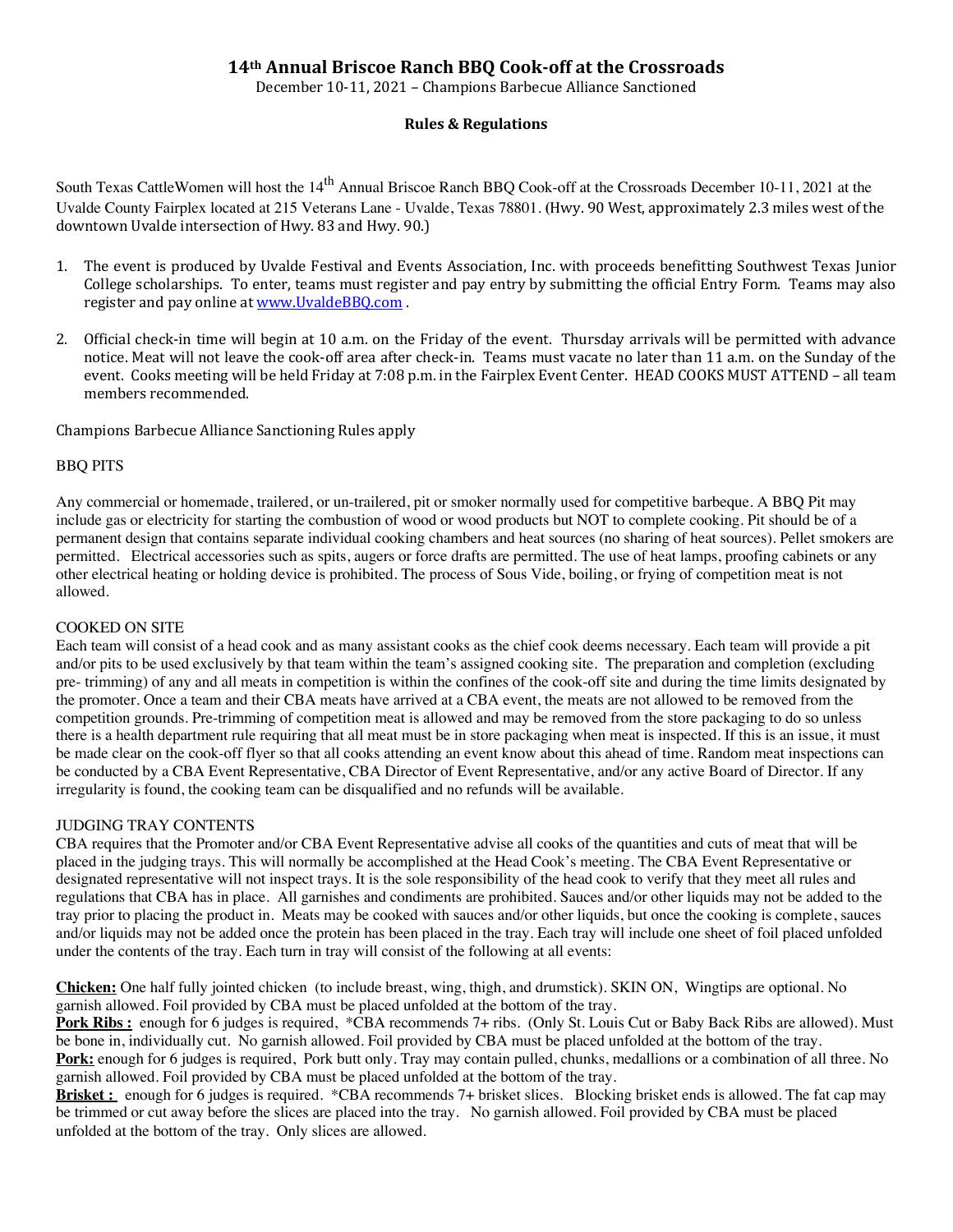# **14th Annual Briscoe Ranch BBQ Cook-off at the Crossroads**

December 10-11, 2021 – Champions Barbecue Alliance Sanctioned

## **Rules & Regulations**

South Texas CattleWomen will host the 14<sup>th</sup> Annual Briscoe Ranch BBQ Cook-off at the Crossroads December 10-11, 2021 at the Uvalde County Fairplex located at 215 Veterans Lane - Uvalde, Texas 78801. **(**Hwy. 90 West, approximately 2.3 miles west of the downtown Uvalde intersection of Hwy. 83 and Hwy. 90.)

- 1. The event is produced by Uvalde Festival and Events Association, Inc. with proceeds benefitting Southwest Texas Junior College scholarships. To enter, teams must register and pay entry by submitting the official Entry Form. Teams may also register and pay online at www.UvaldeBBQ.com.
- 2. Official check-in time will begin at 10 a.m. on the Friday of the event. Thursday arrivals will be permitted with advance notice. Meat will not leave the cook-off area after check-in. Teams must vacate no later than 11 a.m. on the Sunday of the event. Cooks meeting will be held Friday at 7:08 p.m. in the Fairplex Event Center. HEAD COOKS MUST ATTEND - all team members recommended.

Champions Barbecue Alliance Sanctioning Rules apply

### BBQ PITS

Any commercial or homemade, trailered, or un-trailered, pit or smoker normally used for competitive barbeque. A BBQ Pit may include gas or electricity for starting the combustion of wood or wood products but NOT to complete cooking. Pit should be of a permanent design that contains separate individual cooking chambers and heat sources (no sharing of heat sources). Pellet smokers are permitted. Electrical accessories such as spits, augers or force drafts are permitted. The use of heat lamps, proofing cabinets or any other electrical heating or holding device is prohibited. The process of Sous Vide, boiling, or frying of competition meat is not allowed.

### COOKED ON SITE

Each team will consist of a head cook and as many assistant cooks as the chief cook deems necessary. Each team will provide a pit and/or pits to be used exclusively by that team within the team's assigned cooking site. The preparation and completion (excluding pre- trimming) of any and all meats in competition is within the confines of the cook-off site and during the time limits designated by the promoter. Once a team and their CBA meats have arrived at a CBA event, the meats are not allowed to be removed from the competition grounds. Pre-trimming of competition meat is allowed and may be removed from the store packaging to do so unless there is a health department rule requiring that all meat must be in store packaging when meat is inspected. If this is an issue, it must be made clear on the cook-off flyer so that all cooks attending an event know about this ahead of time. Random meat inspections can be conducted by a CBA Event Representative, CBA Director of Event Representative, and/or any active Board of Director. If any irregularity is found, the cooking team can be disqualified and no refunds will be available.

### JUDGING TRAY CONTENTS

CBA requires that the Promoter and/or CBA Event Representative advise all cooks of the quantities and cuts of meat that will be placed in the judging trays. This will normally be accomplished at the Head Cook's meeting. The CBA Event Representative or designated representative will not inspect trays. It is the sole responsibility of the head cook to verify that they meet all rules and regulations that CBA has in place. All garnishes and condiments are prohibited. Sauces and/or other liquids may not be added to the tray prior to placing the product in. Meats may be cooked with sauces and/or other liquids, but once the cooking is complete, sauces and/or liquids may not be added once the protein has been placed in the tray. Each tray will include one sheet of foil placed unfolded under the contents of the tray. Each turn in tray will consist of the following at all events:

**Chicken:** One half fully jointed chicken (to include breast, wing, thigh, and drumstick). SKIN ON, Wingtips are optional. No garnish allowed. Foil provided by CBA must be placed unfolded at the bottom of the tray.

**Pork Ribs :** enough for 6 judges is required, \*CBA recommends 7+ ribs. (Only St. Louis Cut or Baby Back Ribs are allowed). Must be bone in, individually cut. No garnish allowed. Foil provided by CBA must be placed unfolded at the bottom of the tray.

**Pork:** enough for 6 judges is required, Pork butt only. Tray may contain pulled, chunks, medallions or a combination of all three. No garnish allowed. Foil provided by CBA must be placed unfolded at the bottom of the tray.

**Brisket :** enough for 6 judges is required. \*CBA recommends 7+ brisket slices. Blocking brisket ends is allowed. The fat cap may be trimmed or cut away before the slices are placed into the tray. No garnish allowed. Foil provided by CBA must be placed unfolded at the bottom of the tray. Only slices are allowed.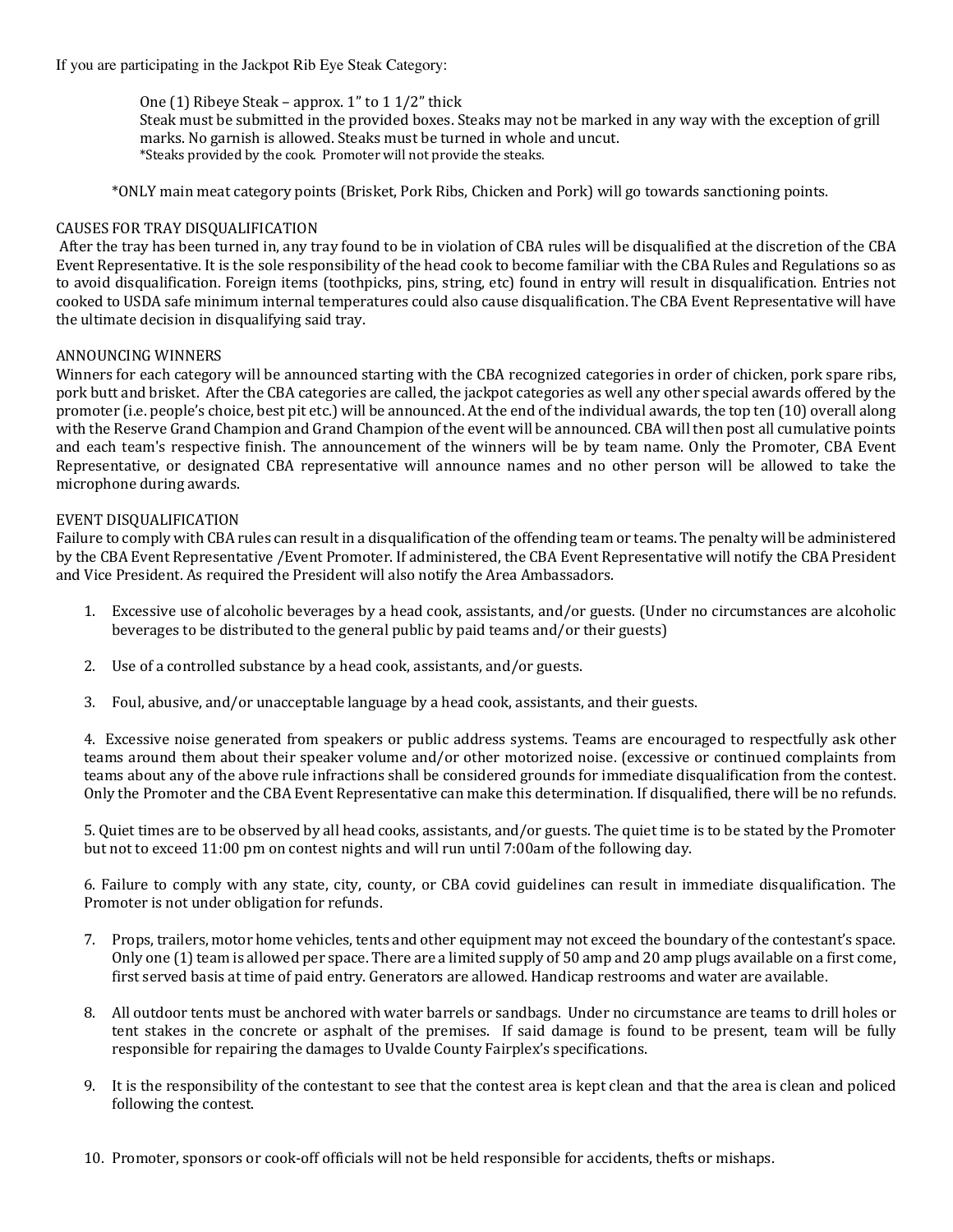If you are participating in the Jackpot Rib Eye Steak Category:

One  $(1)$  Ribeye Steak – approx.  $1$ " to  $1/2$ " thick

Steak must be submitted in the provided boxes. Steaks may not be marked in any way with the exception of grill marks. No garnish is allowed. Steaks must be turned in whole and uncut. \*Steaks provided by the cook. Promoter will not provide the steaks.

 \*ONLY main meat category points (Brisket, Pork Ribs, Chicken and Pork) will go towards sanctioning points.

## CAUSES FOR TRAY DISQUALIFICATION

After the tray has been turned in, any tray found to be in violation of CBA rules will be disqualified at the discretion of the CBA Event Representative. It is the sole responsibility of the head cook to become familiar with the CBA Rules and Regulations so as to avoid disqualification. Foreign items (toothpicks, pins, string, etc) found in entry will result in disqualification. Entries not cooked to USDA safe minimum internal temperatures could also cause disqualification. The CBA Event Representative will have the ultimate decision in disqualifying said tray.

### ANNOUNCING WINNERS

Winners for each category will be announced starting with the CBA recognized categories in order of chicken, pork spare ribs, pork butt and brisket. After the CBA categories are called, the jackpot categories as well any other special awards offered by the promoter (i.e. people's choice, best pit etc.) will be announced. At the end of the individual awards, the top ten (10) overall along with the Reserve Grand Champion and Grand Champion of the event will be announced. CBA will then post all cumulative points and each team's respective finish. The announcement of the winners will be by team name. Only the Promoter, CBA Event Representative, or designated CBA representative will announce names and no other person will be allowed to take the microphone during awards.

## EVENT DISQUALIFICATION

Failure to comply with CBA rules can result in a disqualification of the offending team or teams. The penalty will be administered by the CBA Event Representative /Event Promoter. If administered, the CBA Event Representative will notify the CBA President and Vice President. As required the President will also notify the Area Ambassadors.

- 1. Excessive use of alcoholic beverages by a head cook, assistants, and/or guests. (Under no circumstances are alcoholic beverages to be distributed to the general public by paid teams and/or their guests)
- 2. Use of a controlled substance by a head cook, assistants, and/or guests.
- 3. Foul, abusive, and/or unacceptable language by a head cook, assistants, and their guests.

4. Excessive noise generated from speakers or public address systems. Teams are encouraged to respectfully ask other teams around them about their speaker volume and/or other motorized noise. (excessive or continued complaints from teams about any of the above rule infractions shall be considered grounds for immediate disqualification from the contest. Only the Promoter and the CBA Event Representative can make this determination. If disqualified, there will be no refunds.

5. Quiet times are to be observed by all head cooks, assistants, and/or guests. The quiet time is to be stated by the Promoter but not to exceed 11:00 pm on contest nights and will run until 7:00am of the following day.

6. Failure to comply with any state, city, county, or CBA covid guidelines can result in immediate disqualification. The Promoter is not under obligation for refunds.

- 7. Props, trailers, motor home vehicles, tents and other equipment may not exceed the boundary of the contestant's space. Only one  $(1)$  team is allowed per space. There are a limited supply of 50 amp and 20 amp plugs available on a first come, first served basis at time of paid entry. Generators are allowed. Handicap restrooms and water are available.
- 8. All outdoor tents must be anchored with water barrels or sandbags. Under no circumstance are teams to drill holes or tent stakes in the concrete or asphalt of the premises. If said damage is found to be present, team will be fully responsible for repairing the damages to Uvalde County Fairplex's specifications.
- 9. It is the responsibility of the contestant to see that the contest area is kept clean and that the area is clean and policed following the contest.
- 10. Promoter, sponsors or cook-off officials will not be held responsible for accidents, thefts or mishaps.